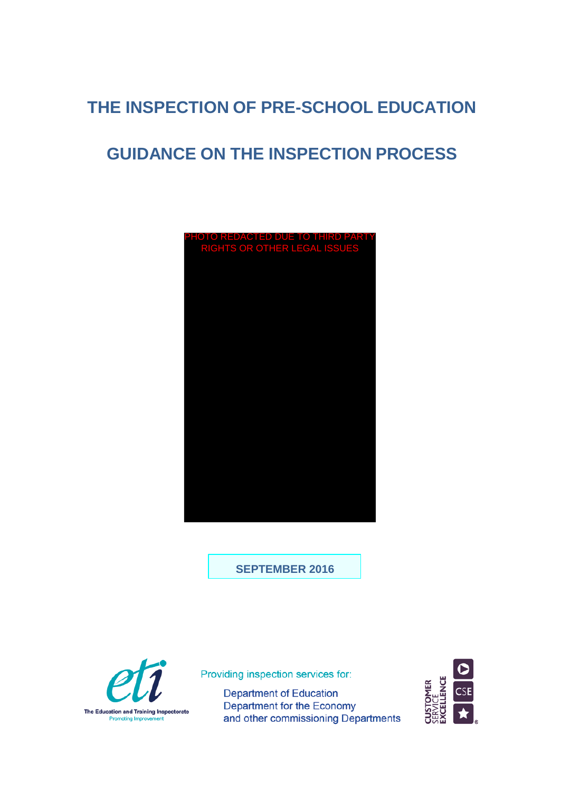# **THE INSPECTION OF PRE-SCHOOL EDUCATION**

# **GUIDANCE ON THE INSPECTION PROCESS**



**SEPTEMBER 2016**



Providing inspection services for:

**Department of Education** Department for the Economy and other commissioning Departments

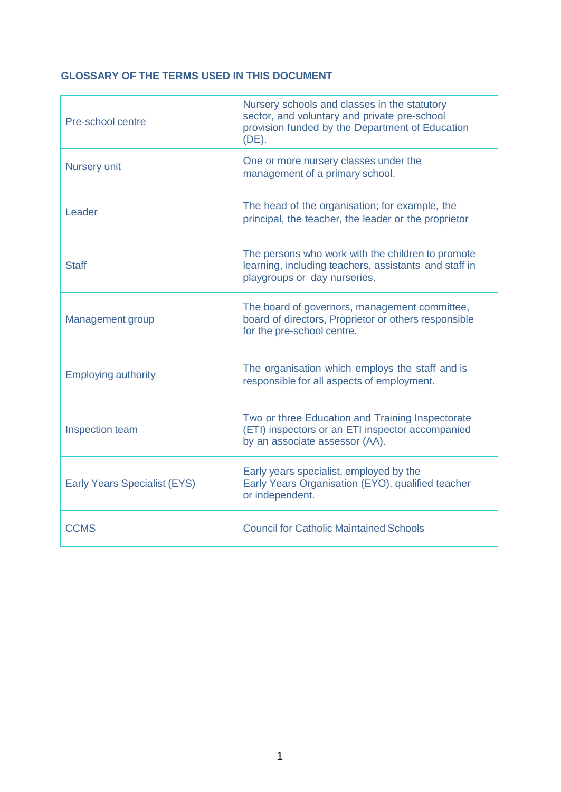# **GLOSSARY OF THE TERMS USED IN THIS DOCUMENT**

| Pre-school centre                   | Nursery schools and classes in the statutory<br>sector, and voluntary and private pre-school<br>provision funded by the Department of Education<br>$(DE)$ . |
|-------------------------------------|-------------------------------------------------------------------------------------------------------------------------------------------------------------|
| Nursery unit                        | One or more nursery classes under the<br>management of a primary school.                                                                                    |
| Leader                              | The head of the organisation; for example, the<br>principal, the teacher, the leader or the proprietor                                                      |
| <b>Staff</b>                        | The persons who work with the children to promote<br>learning, including teachers, assistants and staff in<br>playgroups or day nurseries.                  |
| <b>Management group</b>             | The board of governors, management committee,<br>board of directors, Proprietor or others responsible<br>for the pre-school centre.                         |
| <b>Employing authority</b>          | The organisation which employs the staff and is<br>responsible for all aspects of employment.                                                               |
| Inspection team                     | Two or three Education and Training Inspectorate<br>(ETI) inspectors or an ETI inspector accompanied<br>by an associate assessor (AA).                      |
| <b>Early Years Specialist (EYS)</b> | Early years specialist, employed by the<br>Early Years Organisation (EYO), qualified teacher<br>or independent.                                             |
| <b>CCMS</b>                         | <b>Council for Catholic Maintained Schools</b>                                                                                                              |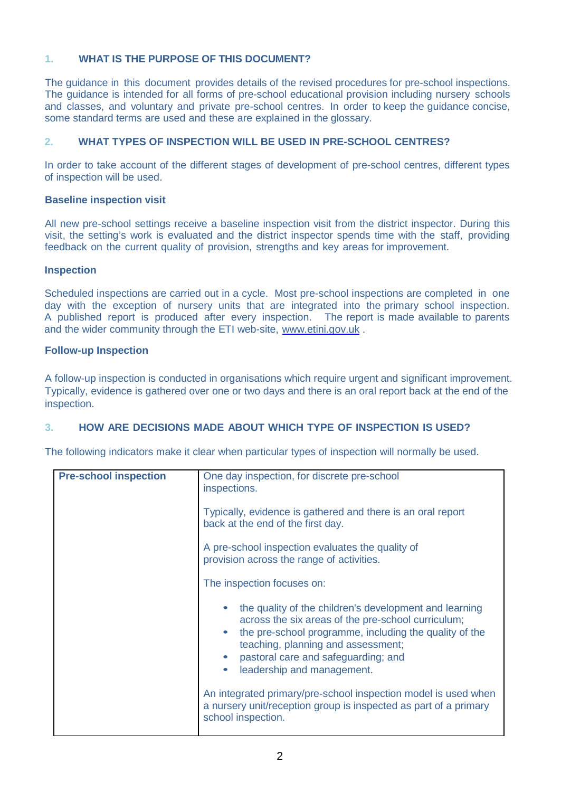# **1. WHAT IS THE PURPOSE OF THIS DOCUMENT?**

The guidance in this document provides details of the revised procedures for pre-school inspections. The guidance is intended for all forms of pre-school educational provision including nursery schools and classes, and voluntary and private pre-school centres. In order to keep the guidance concise, some standard terms are used and these are explained in the glossary.

# **2. WHAT TYPES OF INSPECTION WILL BE USED IN PRE-SCHOOL CENTRES?**

In order to take account of the different stages of development of pre-school centres, different types of inspection will be used.

# **Baseline inspection visit**

All new pre-school settings receive a baseline inspection visit from the district inspector. During this visit, the setting's work is evaluated and the district inspector spends time with the staff, providing feedback on the current quality of provision, strengths and key areas for improvement.

#### **Inspection**

Scheduled inspections are carried out in a cycle. Most pre-school inspections are completed in one day with the exception of nursery units that are integrated into the primary school inspection. A published report is produced after every inspection. The report is made available to parents and the wider community through the ETI web-site, [www.etini.gov.uk](http://www.etini.gov.uk/) .

#### **Follow-up Inspection**

A follow-up inspection is conducted in organisations which require urgent and significant improvement. Typically, evidence is gathered over one or two days and there is an oral report back at the end of the inspection.

# **3. HOW ARE DECISIONS MADE ABOUT WHICH TYPE OF INSPECTION IS USED?**

The following indicators make it clear when particular types of inspection will normally be used.

| <b>Pre-school inspection</b> | One day inspection, for discrete pre-school<br>inspections.                                                                                                                                                                                                                       |
|------------------------------|-----------------------------------------------------------------------------------------------------------------------------------------------------------------------------------------------------------------------------------------------------------------------------------|
|                              | Typically, evidence is gathered and there is an oral report<br>back at the end of the first day.                                                                                                                                                                                  |
|                              | A pre-school inspection evaluates the quality of<br>provision across the range of activities.                                                                                                                                                                                     |
|                              | The inspection focuses on:                                                                                                                                                                                                                                                        |
|                              | the quality of the children's development and learning<br>across the six areas of the pre-school curriculum;<br>the pre-school programme, including the quality of the<br>teaching, planning and assessment;<br>pastoral care and safeguarding; and<br>leadership and management. |
|                              | An integrated primary/pre-school inspection model is used when<br>a nursery unit/reception group is inspected as part of a primary<br>school inspection.                                                                                                                          |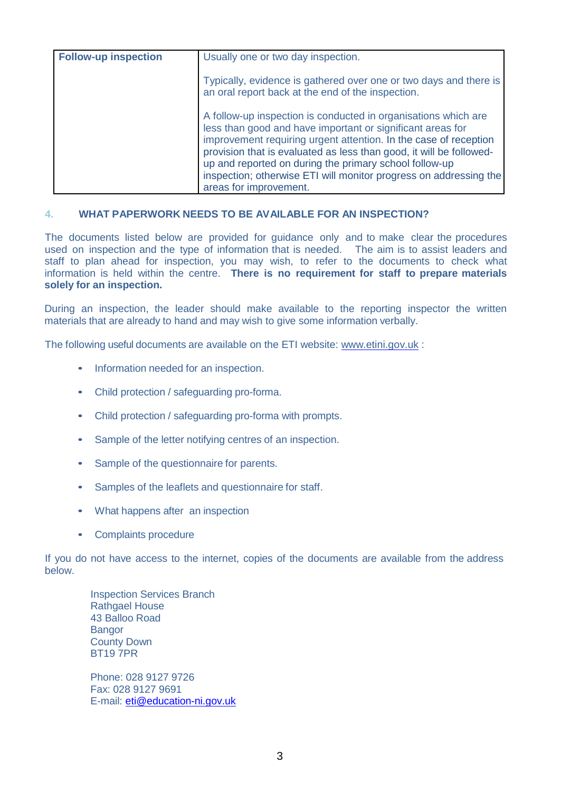| <b>Follow-up inspection</b> | Usually one or two day inspection.                                                                                                                                                                                                                                                                                                                                                                                               |
|-----------------------------|----------------------------------------------------------------------------------------------------------------------------------------------------------------------------------------------------------------------------------------------------------------------------------------------------------------------------------------------------------------------------------------------------------------------------------|
|                             | Typically, evidence is gathered over one or two days and there is<br>an oral report back at the end of the inspection.                                                                                                                                                                                                                                                                                                           |
|                             | A follow-up inspection is conducted in organisations which are<br>less than good and have important or significant areas for<br>improvement requiring urgent attention. In the case of reception<br>provision that is evaluated as less than good, it will be followed-<br>up and reported on during the primary school follow-up<br>inspection; otherwise ETI will monitor progress on addressing the<br>areas for improvement. |

#### **4. WHAT PAPERWORK NEEDS TO BE AVAILABLE FOR AN INSPECTION?**

The documents listed below are provided for guidance only and to make clear the procedures used on inspection and the type of information that is needed. The aim is to assist leaders and staff to plan ahead for inspection, you may wish, to refer to the documents to check what information is held within the centre. **There is no requirement for staff to prepare materials solely for an inspection.**

During an inspection, the leader should make available to the reporting inspector the written materials that are already to hand and may wish to give some information verbally.

The following useful documents are available on the ETI website: [www.etini.gov.uk](http://www.etini.gov.uk/) :

- Information needed for an inspection.
- Child protection / safeguarding pro-forma.
- Child protection / safeguarding pro-forma with prompts.
- Sample of the letter notifying centres of an inspection.
- Sample of the questionnaire for parents.
- Samples of the leaflets and questionnaire for staff.
- What happens after an inspection
- Complaints procedure

If you do not have access to the internet, copies of the documents are available from the address below.

Inspection Services Branch Rathgael House 43 Balloo Road Bangor County Down BT19 7PR

Phone: 028 9127 9726 Fax: 028 9127 9691 E-mail: [eti@education-ni.gov.uk](mailto:eti@education-ni.gov.uk)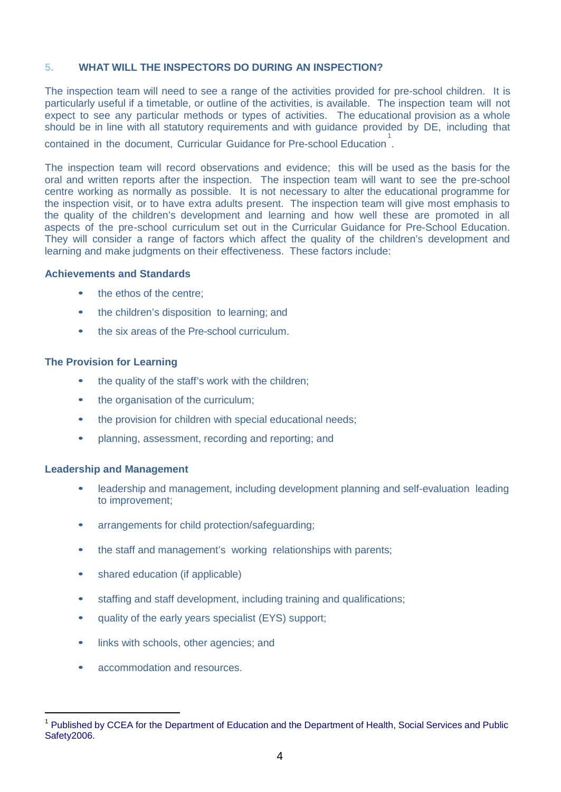# **5. WHAT WILL THE INSPECTORS DO DURING AN INSPECTION?**

The inspection team will need to see a range of the activities provided for pre-school children. It is particularly useful if a timetable, or outline of the activities, is available. The inspection team will not expect to see any particular methods or types of activities. The educational provision as a whole should be in line with all statutory requirements and with guidance provided by DE, including that

contained in the document, Curricular Guidance for Pre-school Education [1](#page-4-0) .

The inspection team will record observations and evidence; this will be used as the basis for the oral and written reports after the inspection. The inspection team will want to see the pre-school centre working as normally as possible. It is not necessary to alter the educational programme for the inspection visit, or to have extra adults present. The inspection team will give most emphasis to the quality of the children's development and learning and how well these are promoted in all aspects of the pre-school curriculum set out in the Curricular Guidance for Pre-School Education. They will consider a range of factors which affect the quality of the children's development and learning and make judgments on their effectiveness. These factors include:

#### **Achievements and Standards**

- the ethos of the centre;
- the children's disposition to learning; and
- the six areas of the Pre-school curriculum.

# **The Provision for Learning**

- the quality of the staff's work with the children;
- the organisation of the curriculum;
- the provision for children with special educational needs;
- planning, assessment, recording and reporting; and

# **Leadership and Management**

**.** 

- leadership and management, including development planning and self-evaluation leading to improvement;
- arrangements for child protection/safeguarding;
- the staff and management's working relationships with parents;
- shared education (if applicable)
- staffing and staff development, including training and qualifications;
- quality of the early years specialist (EYS) support;
- links with schools, other agencies; and
- accommodation and resources.

<span id="page-4-0"></span><sup>&</sup>lt;sup>1</sup> Published by CCEA for the Department of Education and the Department of Health, Social Services and Public Safety<sub>2006</sub>.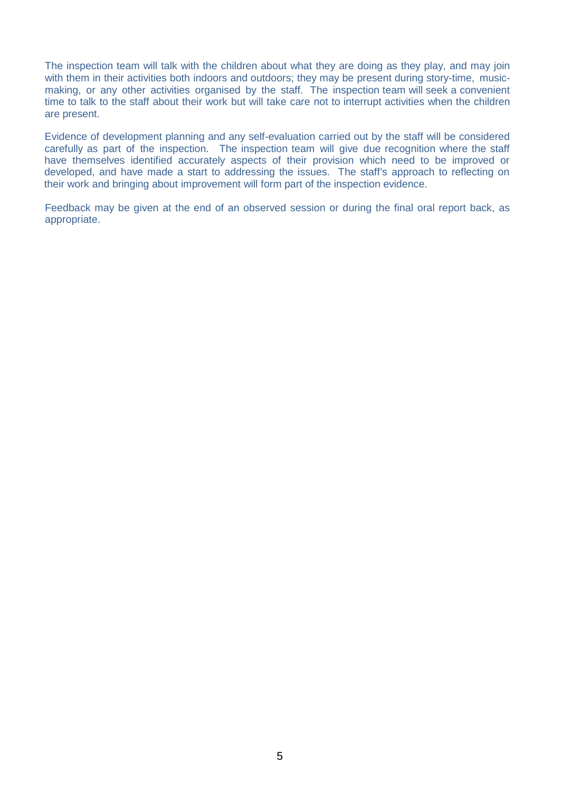The inspection team will talk with the children about what they are doing as they play, and may join with them in their activities both indoors and outdoors; they may be present during story-time, musicmaking, or any other activities organised by the staff. The inspection team will seek a convenient time to talk to the staff about their work but will take care not to interrupt activities when the children are present.

Evidence of development planning and any self-evaluation carried out by the staff will be considered carefully as part of the inspection. The inspection team will give due recognition where the staff have themselves identified accurately aspects of their provision which need to be improved or developed, and have made a start to addressing the issues. The staff's approach to reflecting on their work and bringing about improvement will form part of the inspection evidence.

Feedback may be given at the end of an observed session or during the final oral report back, as appropriate.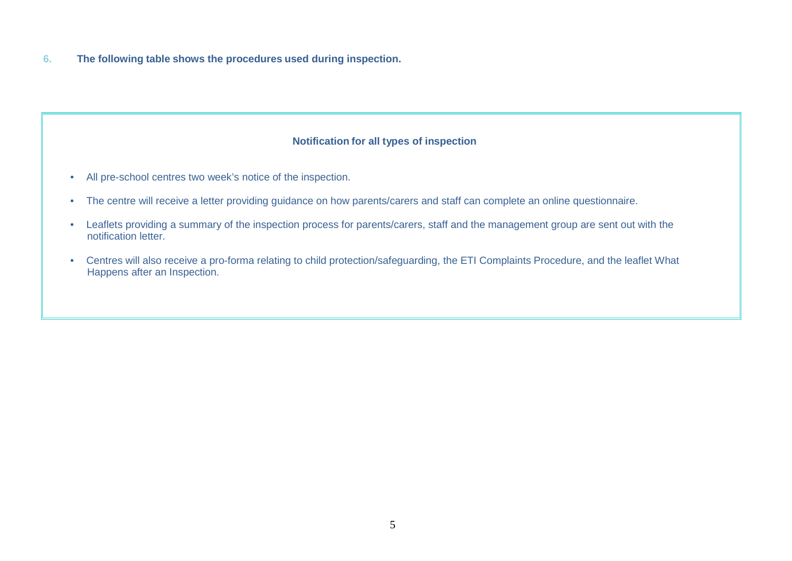**6. The following table shows the procedures used during inspection.**

# **Notification for all types of inspection**

- All pre-school centres two week's notice of the inspection.
- The centre will receive a letter providing guidance on how parents/carers and staff can complete an online questionnaire.
- Leaflets providing a summary of the inspection process for parents/carers, staff and the management group are sent out with the notification letter.
- Centres will also receive a pro-forma relating to child protection/safeguarding, the ETI Complaints Procedure, and the leaflet What Happens after an Inspection.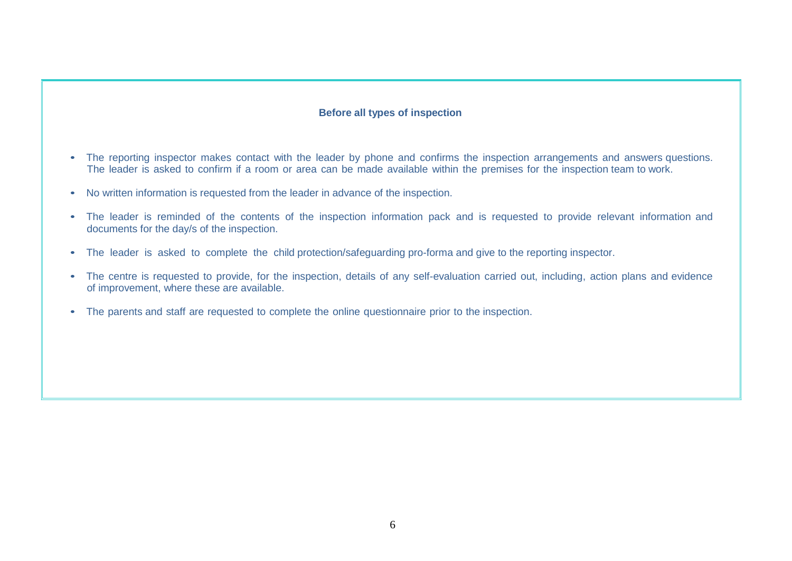#### **Before all types of inspection**

- The reporting inspector makes contact with the leader by phone and confirms the inspection arrangements and answers questions. The leader is asked to confirm if a room or area can be made available within the premises for the inspection team to work.
- No written information is requested from the leader in advance of the inspection.
- The leader is reminded of the contents of the inspection information pack and is requested to provide relevant information and documents for the day/s of the inspection.
- The leader is asked to complete the child protection/safeguarding pro-forma and give to the reporting inspector.
- The centre is requested to provide, for the inspection, details of any self-evaluation carried out, including, action plans and evidence of improvement, where these are available.
- The parents and staff are requested to complete the online questionnaire prior to the inspection.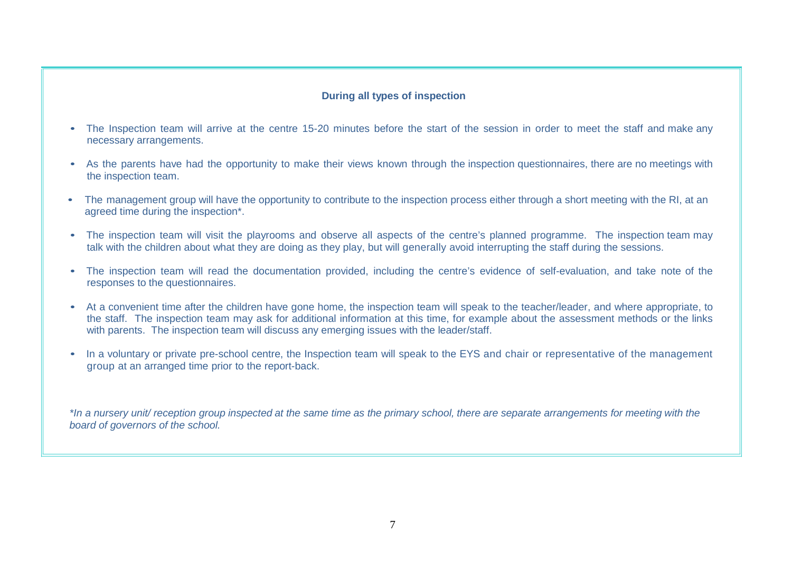# **During all types of inspection**

- The Inspection team will arrive at the centre 15-20 minutes before the start of the session in order to meet the staff and make any necessary arrangements.
- As the parents have had the opportunity to make their views known through the inspection questionnaires, there are no meetings with the inspection team.
- The management group will have the opportunity to contribute to the inspection process either through a short meeting with the RI, at an agreed time during the inspection\*.
- The inspection team will visit the playrooms and observe all aspects of the centre's planned programme. The inspection team may talk with the children about what they are doing as they play, but will generally avoid interrupting the staff during the sessions.
- The inspection team will read the documentation provided, including the centre's evidence of self-evaluation, and take note of the responses to the questionnaires.
- At a convenient time after the children have gone home, the inspection team will speak to the teacher/leader, and where appropriate, to the staff. The inspection team may ask for additional information at this time, for example about the assessment methods or the links with parents. The inspection team will discuss any emerging issues with the leader/staff.
- In a voluntary or private pre-school centre, the Inspection team will speak to the EYS and chair or representative of the management group at an arranged time prior to the report-back.

\*In a nursery unit/ reception group inspected at the same time as the primary school, there are separate arrangements for meeting with the *board of governors of the school.*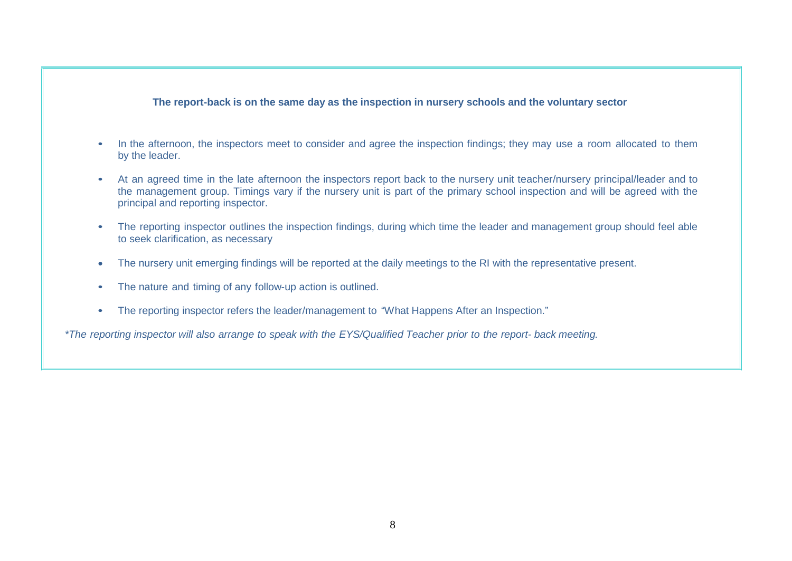#### **The report-back is on the same day as the inspection in nursery schools and the voluntary sector**

- In the afternoon, the inspectors meet to consider and agree the inspection findings; they may use a room allocated to them by the leader.
- At an agreed time in the late afternoon the inspectors report back to the nursery unit teacher/nursery principal/leader and to the management group. Timings vary if the nursery unit is part of the primary school inspection and will be agreed with the principal and reporting inspector.
- The reporting inspector outlines the inspection findings, during which time the leader and management group should feel able to seek clarification, as necessary
- The nursery unit emerging findings will be reported at the daily meetings to the RI with the representative present.
- The nature and timing of any follow-up action is outlined.
- The reporting inspector refers the leader/management to "What Happens After an Inspection."

*\*The reporting inspector will also arrange to speak with the EYS/Qualified Teacher prior to the report- back meeting.*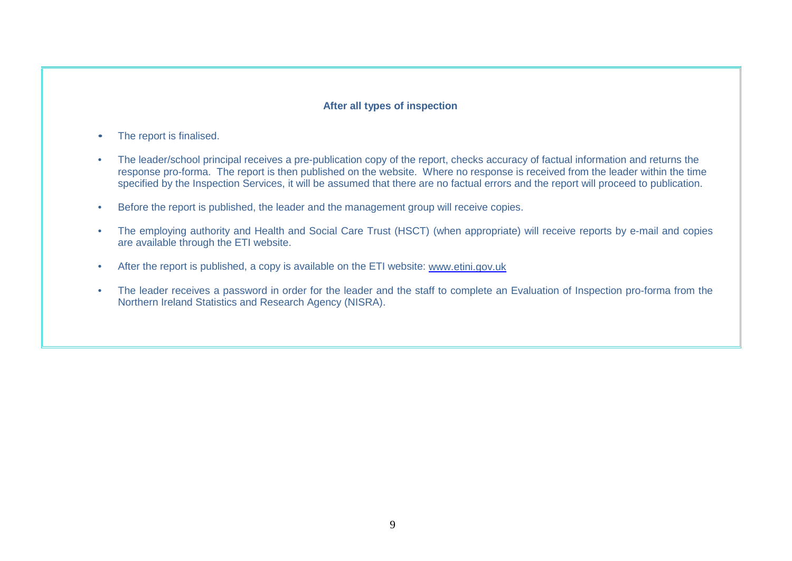# **After all types of inspection**

- The report is finalised.
- The leader/school principal receives a pre-publication copy of the report, checks accuracy of factual information and returns the response pro-forma. The report is then published on the website. Where no response is received from the leader within the time specified by the Inspection Services, it will be assumed that there are no factual errors and the report will proceed to publication.
- Before the report is published, the leader and the management group will receive copies.
- The employing authority and Health and Social Care Trust (HSCT) (when appropriate) will receive reports by e-mail and copies are available through the ETI website.
- After the report is published, a copy is available on the ETI website: [www.etini.gov.uk](http://www.etini.gov.uk/)
- The leader receives a password in order for the leader and the staff to complete an Evaluation of Inspection pro-forma from the Northern Ireland Statistics and Research Agency (NISRA).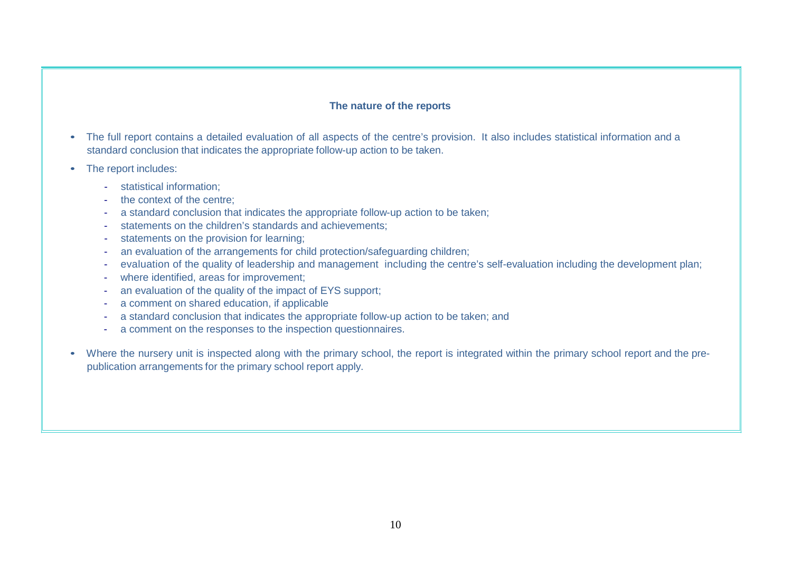#### **The nature of the reports**

- The full report contains a detailed evaluation of all aspects of the centre's provision. It also includes statistical information and a standard conclusion that indicates the appropriate follow-up action to be taken.
- The report includes:
	- statistical information;
	- the context of the centre;
	- a standard conclusion that indicates the appropriate follow-up action to be taken;
	- statements on the children's standards and achievements:
	- statements on the provision for learning;
	- an evaluation of the arrangements for child protection/safeguarding children;
	- evaluation of the quality of leadership and management including the centre's self-evaluation including the development plan;
	- where identified, areas for improvement;
	- an evaluation of the quality of the impact of EYS support;
	- a comment on shared education, if applicable
	- a standard conclusion that indicates the appropriate follow-up action to be taken; and
	- a comment on the responses to the inspection questionnaires.
- Where the nursery unit is inspected along with the primary school, the report is integrated within the primary school report and the prepublication arrangements for the primary school report apply.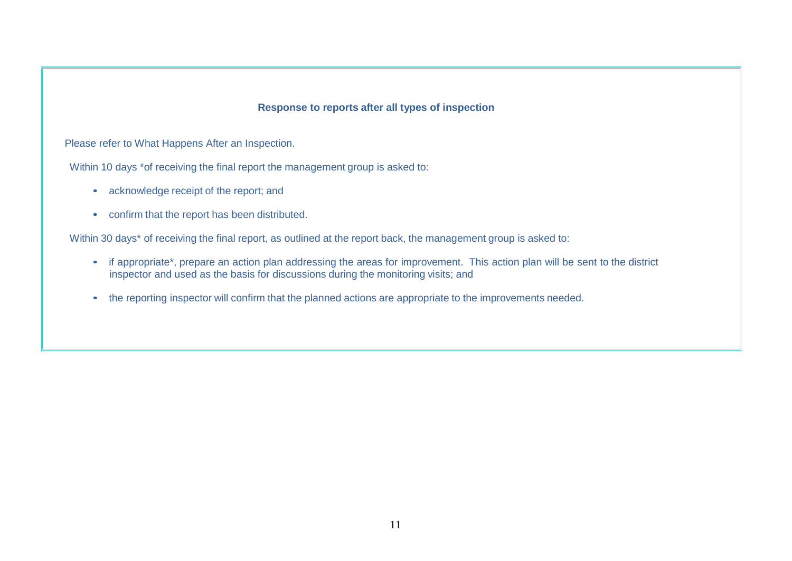#### **Response to reports after all types of inspection**

Please refer to What Happens After an Inspection.

Within 10 days \*of receiving the final report the management group is asked to:

- acknowledge receipt of the report; and
- confirm that the report has been distributed.

Within 30 days<sup>\*</sup> of receiving the final report, as outlined at the report back, the management group is asked to:

- if appropriate\*, prepare an action plan addressing the areas for improvement. This action plan will be sent to the district inspector and used as the basis for discussions during the monitoring visits; and
- the reporting inspector will confirm that the planned actions are appropriate to the improvements needed.